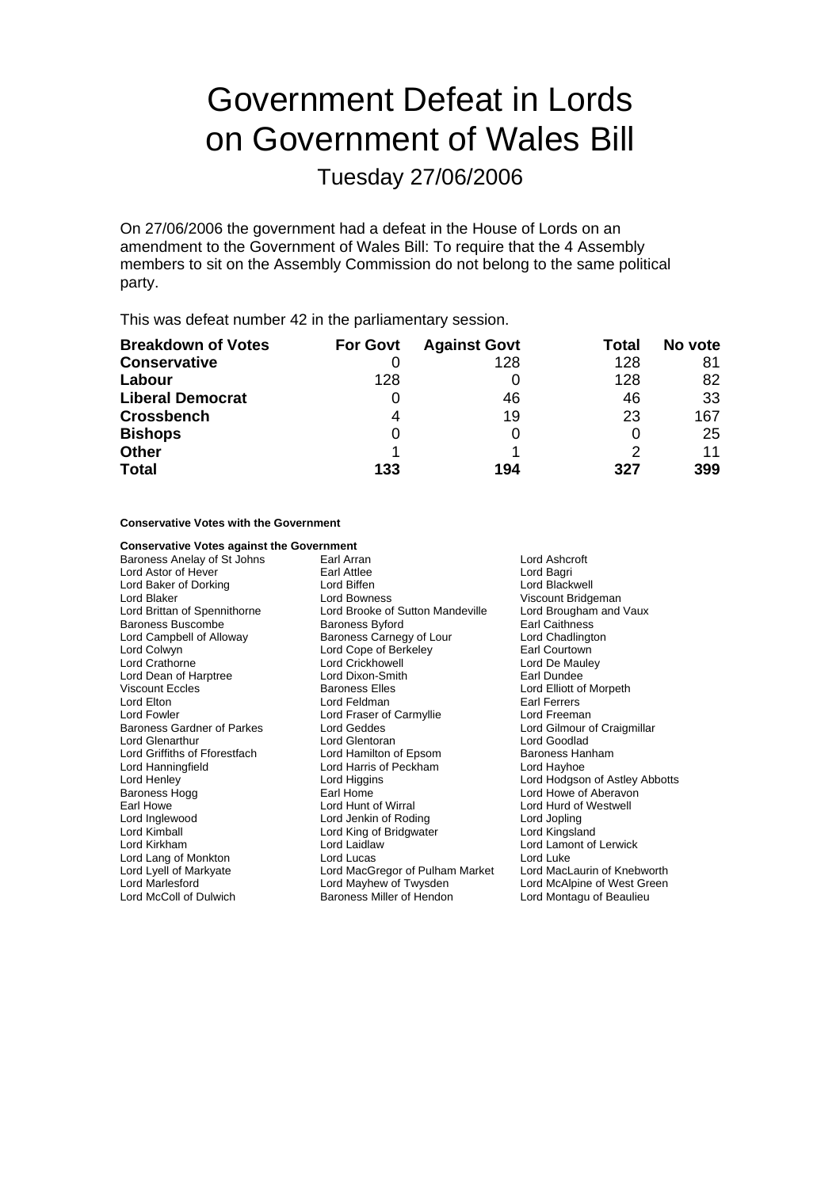# Government Defeat in Lords on Government of Wales Bill

Tuesday 27/06/2006

On 27/06/2006 the government had a defeat in the House of Lords on an amendment to the Government of Wales Bill: To require that the 4 Assembly members to sit on the Assembly Commission do not belong to the same political party.

This was defeat number 42 in the parliamentary session.

| <b>Breakdown of Votes</b> | <b>For Govt</b> | <b>Against Govt</b> | Total | No vote |
|---------------------------|-----------------|---------------------|-------|---------|
| <b>Conservative</b>       |                 | 128                 | 128   | 81      |
| Labour                    | 128             |                     | 128   | 82      |
| <b>Liberal Democrat</b>   |                 | 46                  | 46    | 33      |
| <b>Crossbench</b>         | 4               | 19                  | 23    | 167     |
| <b>Bishops</b>            | 0               |                     |       | 25      |
| <b>Other</b>              |                 |                     | 2     | 11      |
| <b>Total</b>              | 133             | 194                 | 327   | 399     |

### **Conservative Votes with the Government**

### **Conservative Votes against the Government**<br>**Baroness Anelav of St Johns** Earl Arran

Lord Astor of Hever Baroness Buscombe Lord Griffiths of Eforestfach Lord Kimball Lord King of Bridgwater<br>
Lord Kirkham Lord Laidlaw Lord Marlesford in the Lord Mayhew of Twysden<br>
Lord McAlpine of West Green<br>
Lord McColl of Dulwich **Callendia Baroness Miller of Hendon** Lord Montagu of Beaulieu

Baroness Anelay of St Johns Earl Arran Earl Arran Cord Ashcroft<br>
Earl Attlee Cord Astor of Hever Cord Bagri Lord Baker of Dorking **Communist Cord Biffen** Cord Blackwell<br>
Lord Blackwell<br>
Lord Bowness
Cord Bowness
Lord Bowness
Lord Bowness
Lord Blackwell
Lord Blackwell
Lord Blackwell Lord Blaker The Cord Bowness Cord Bossess Music Cord Blaker Viscount Bridgeman<br>Lord Brittan of Spennithorne Lord Brooke of Sutton Mandeville Lord Brougham and Vaux Lord Brooke of Sutton Mandeville Lord Brougham<br>Baroness Byford Brougham Baroness Byford Earl Caithness Lord Campbell of Alloway **Baroness Carnegy of Lour** Lord Chadlington<br>
Lord Colwyn **Lord Cope of Berkeley Lord Cope Carness** Earl Courtown Lord Cope of Berkeley<br>Lord Crickhowell Lord Crathorne Lord Crickhowell Lord De Mauley Lord Dean of Harptree **Reading Lord Dixon-Smith** Earl Dundee<br>
Viscount Eccles **Collect Baroness** Elles **Earl Dundee Earl Dundee Earl Dundee Earl Dundee Earl Dundee** Viscount Eccles **Contains Exercise Elles** Baroness Elles **Lord Elliott of Morpeth Lord Elliott of Morpeth**<br>
Lord Elton Lord Eldman **Contains Elected Elected Elected Portugal**<br>
Earl Ferrers Lord Elton **Contains Earl Fearl Ferrers**<br>
Lord Fowler **Carl Ferrers**<br>
Lord Fowler **Early Example Ferrers**<br>
Lord Freeman Lord Fraser of Carmyllie Baroness Gardner of Parkes **Example 20 Lord Geddes** Lord Gilmour of Craigmillar Lord Glenarthur **Lord Glentoran**<br>
Lord Griffiths of Fforestfach **Lord Hamilton of Fosom** Baroness Hanham Lord Hanningfield **Lord Harris of Peckham** Lord Hayhoe<br>
Lord Henley **Lord Hayhoe**<br>
Lord Higgins **Lord Henley** Lord Hodgson Lord Henley **Lord Home Lord Higgins** Cord Home Lord Hodgson of Astley Abbotts<br>
Baroness Hogg **Cord Cord Home Lord Howe of Aberavon** Earl Howe Lord Hunt of Wirral Lord Hunt of Wirral Lord Hunt of Westwell Lord Inglewo d o Lord Jenkin of Roding Lord Jopling Lord Lang of Monkton **Lord Lord Lucas** Lord Lord Lucas Lord Lucas Lord Lucas Lord Lucas Lord Lucas Lord Lucas Lord Lucas Lord Lucas Lord Lucas Lord Lucas Lord Lucas Lord Lucas Lord Lucas Lord Lucas Lord Lucas Lord Lucas Lo Lord MacGregor of Pulham Market Baroness Miller of Hendon

Lord Howe of Aberavon Lord Lamont of Lerwick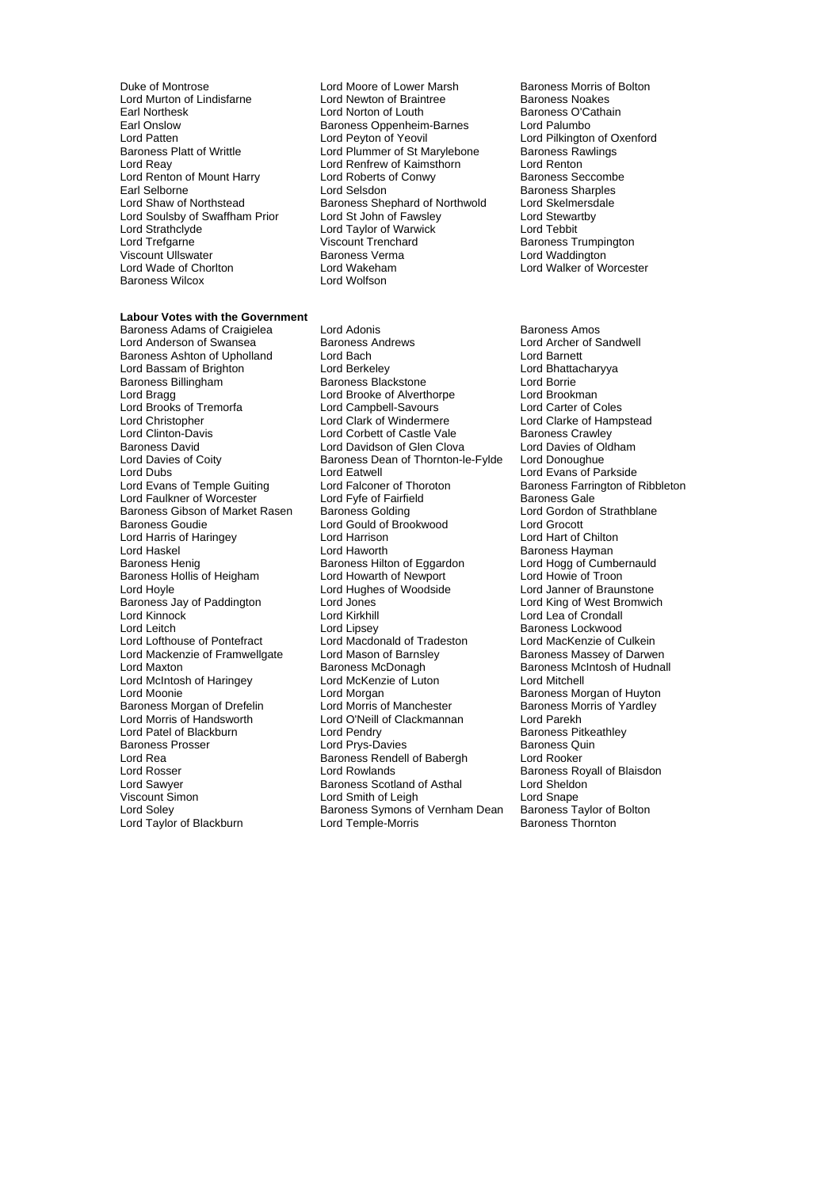- Duke of Montrose **Lord Moore of Lower Marsh** Baroness Morris of Bolton<br>
Lord Murton of Lindisfarne **Baroness Lord Newton of Braintree** Baroness Noakes Earl Onslow Baroness Oppenheim-Barnes<br>
Lord Patten<br>
Lord Peyton of Yeovil Lord Renton of Mount Harry **Frank Conwy Lord Roberts** Earl Selborne Lord Strathclyde Lord Taylor of Warwick<br>
Lord Trefoarne 
Lord Tenchard Baroness Wilcox
- **Labour Votes with the Government**

Baroness Adams of Craigielea Lord Adonis **Baroness Amos** Baroness Amos Lord Brooks of Tremorfa e Lord Campbell-Savours<br>
Lord Christopher e Lord Clark of Windermere Lord Harris of Haringey Lord Harrison<br>
Lord Haskel Chilton Cord Haworth Baroness Hollis of Heigham Lord Mackenzie of Framwellgate Lord Mason of Barnsl<br>Lord Maxton baroness McDonagh Lord Morris of Handsworth Lord O'Neill of Clackmannan<br>Lord Patel of Blackburn Lord Pendry Lord Taylor of Blackburn

Lord Murton of Lindisfarne Lord Newton of Braintree **Baroness Noakes**<br>
Lord Norton of Louth Couth Couth Baroness O'Cathain Earl Northesk **Earl Lord Norton of Louth** Baroness O'Cathain Baroness O'Cathain Baroness O'Cathain Baroness O'Cathain<br>
Baroness Oppenheim-Barnes Lord Palumbo Lord Patten **Lord Peyton of Yeovil** Lord Patten Lord Pilkington of Oxenford<br>Baroness Platt of Writtle **Lord Plummer of St Marylebone** Baroness Rawlings Baroness Platt of Writtle Lord Plummer of St Marylebone Baroness Raylebone Baroness Raylebone Baroness Raylebone Baroness Raylebone Baroness Raylebone Baroness Raylebone Baroness Raylebone Baroness Raylebone Baroness Rayle Lord Renfrew of Kaimsthorn Lord Renton<br>
Lord Renton<br>
Lord Roberts of Conwy Baroness Seccombe Earl Selborne **Lord Selsdon** Early Baroness Sharples<br>
Lord Shaw of Northstead Baroness Shephard of Northwold Lord Skelmersdale **Baroness Shephard of Northwold Lord Skelmersdale Baroness Shephard of Northwold Lord Stewartby** Lord Soulsby of Swaffham Prior Lord St John of Fawsley Lord Stewart Lord Stewart Lord Stewart Cord Tebbit<br>Lord Strathclyde Lord Tebbit Lord Trefgarne Viscount Trenchard Baroness Trumpington Viscount Ullswater **Controller Baroness Verma** Controller Lord Waddington<br>
Lord Wade of Choriton **Controller Controller Controller Controller Lord Walker of Willsen** Lord Wakeham **Lord Walker of Worcester**<br>
Lord Wolfson

Lord Anderson of Swansea Baroness Andrews Lord Archer of Sandwell Baroness Ashton of Upholland Lord Bach Lord Barnett Lord Bassam of Brighton **Lord Berkeley** Lord Bhatta<br>1991 - Baroness Blackstone Lord Borrie<br>2011 - Lord Borrie Baroness Blackstone Lord Bragg Lord Brooke of Alverthorpe Lord Brookman<br>
Lord Brooks of Tremorfa Lord Campbell-Savours Lord Carter of Coles Lord Christopher **Lord Clark of Windermere** Lord Clarke of Hampstead<br>
Lord Clinton-Davis **Lord Corbett of Castle Vale** Baroness Crawley Lord Corbett of Castle Vale Baroness Crawley<br>
Lord Davidson of Glen Clova Lord Davies of Oldham Baroness David **Lord Davidson of Glen Clova** Lord Davies of Ol<br>Lord Davies of Coity **Container Baroness Dean of Thornton-le-Fylde** Lord Donoughue Lord Davies of Coity **Baroness Dean of Thornton-le-Fylde**<br>
Lord Dubs<br>
Lord Fatwell Lord Dubs<br>
Lord Evans of Temple Guiting Lord Eatwell<br>
Lord Evans of Temple Guiting Lord Falconer of Thoroton Baroness Farrington of Lord Faulkner of Worcester Lord Fyfe of Fairfield<br>
Baroness Gibson of Market Rasen Baroness Golding Cord Lord Gordon of Strathblane Baroness Gibson of Market Rasen Baroness Golding **Lord Gordon Cordon Cordon Cordon** Cordon Cordon Cordon of Brook<br>
Lord Gould of Brookwood Lord Grocott Lord Gould of Brookwood Lord Grocott<br>
Lord Harrison Lord Hart of Chilton Lord Haskel Lord Haworth Baroness Hayman Baroness Hilton of Eggardon Lord Hogg of Cumbernauld Lord Howie of Troon Lord Hoyle **Lord Hughes of Woodside** Lord Lord Janner of Braunstone<br>
Baroness Jay of Paddington **Lord Lord Jones** Lord Core Lord King of West Bromwic Baroness Jay of Paddington Lord Jones Lord Cord Cord Lord King of West Bromwich<br>
Lord Kinnock Lord King of Crondall Lord Leitch **Lord Lipsey** Lord Lipsey **Baroness Lockwood**<br>
Lord Lofthouse of Pontefract Lord Macdonald of Tradeston Lord MacKenzie of Culkein Lord Macdonald of Tradeston Lord MacKenzie of Culkein<br>Lord Mason of Barnsley **Baroness Massey of Darwen** Lord Maxton **Baroness McDonagh Baroness McDonagh Baroness McHudnall** Lord McIntosh of Haringey Lord McKenzie of Luton Lord Mitchell Lord Moonie <sup>V</sup> The Lord Morgan Cord Cord Baroness Morgan of Huyton<br>
Baroness Morgan of Drefelin Lord Morris of Manchester Baroness Morris of Yardley Baroness Morgan of Drefelin Lord Morris of Manchester The Baroness Morgan of Drefelin Lord Morris of Manchester The Baroness Morgan Lord Parekh Baroness Prosser Lord Prys-Davies Baroness Quin Baroness Rendell of Babergh Lord Rooker Lord Rosser **Lord Rowlands**<br>
Lord Rowlands Baroness Scotland of Asthal **Baroness Condensity**<br>
Lord Sawyer Baroness Scotland of Asthal Lord Sheldon Lord Sawyer **Baroness Scotland of Asthal Lord Sheldon**<br>
Viscount Simon **Baroness Scotland of Asthal Lord Shape** Lord Smith of Leigh Lord Snape<br>
Baroness Symons of Vernham Dean Baroness Taylor of Bolton Lord Soley **Baroness Symons of Vernham Dean** Baroness Taylor of Lord Taylor of Lord Temple-Morris **Container Symons of Vernham Dean** Baroness Thornton

Baroness Farrington of Ribbleton Lord Lea of Crondall Baroness Pitkeathley